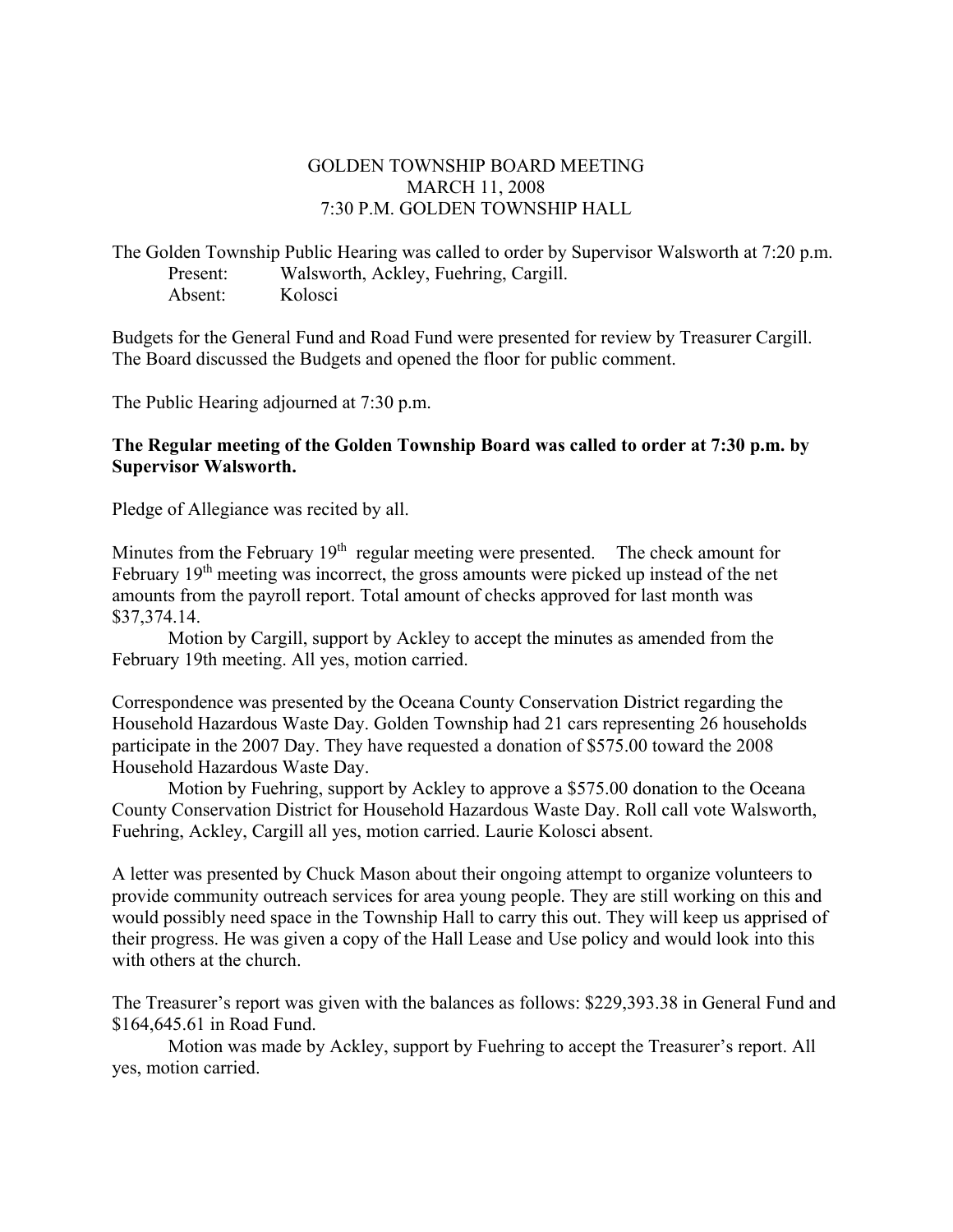## GOLDEN TOWNSHIP BOARD MEETING MARCH 11, 2008 7:30 P.M. GOLDEN TOWNSHIP HALL

The Golden Township Public Hearing was called to order by Supervisor Walsworth at 7:20 p.m. Present: Walsworth, Ackley, Fuehring, Cargill. Absent: Kolosci

Budgets for the General Fund and Road Fund were presented for review by Treasurer Cargill. The Board discussed the Budgets and opened the floor for public comment.

The Public Hearing adjourned at 7:30 p.m.

## **The Regular meeting of the Golden Township Board was called to order at 7:30 p.m. by Supervisor Walsworth.**

Pledge of Allegiance was recited by all.

Minutes from the February  $19<sup>th</sup>$  regular meeting were presented. The check amount for February  $19<sup>th</sup>$  meeting was incorrect, the gross amounts were picked up instead of the net amounts from the payroll report. Total amount of checks approved for last month was \$37,374.14.

Motion by Cargill, support by Ackley to accept the minutes as amended from the February 19th meeting. All yes, motion carried.

Correspondence was presented by the Oceana County Conservation District regarding the Household Hazardous Waste Day. Golden Township had 21 cars representing 26 households participate in the 2007 Day. They have requested a donation of \$575.00 toward the 2008 Household Hazardous Waste Day.

 Motion by Fuehring, support by Ackley to approve a \$575.00 donation to the Oceana County Conservation District for Household Hazardous Waste Day. Roll call vote Walsworth, Fuehring, Ackley, Cargill all yes, motion carried. Laurie Kolosci absent.

A letter was presented by Chuck Mason about their ongoing attempt to organize volunteers to provide community outreach services for area young people. They are still working on this and would possibly need space in the Township Hall to carry this out. They will keep us apprised of their progress. He was given a copy of the Hall Lease and Use policy and would look into this with others at the church.

The Treasurer's report was given with the balances as follows: \$229,393.38 in General Fund and \$164,645.61 in Road Fund.

 Motion was made by Ackley, support by Fuehring to accept the Treasurer's report. All yes, motion carried.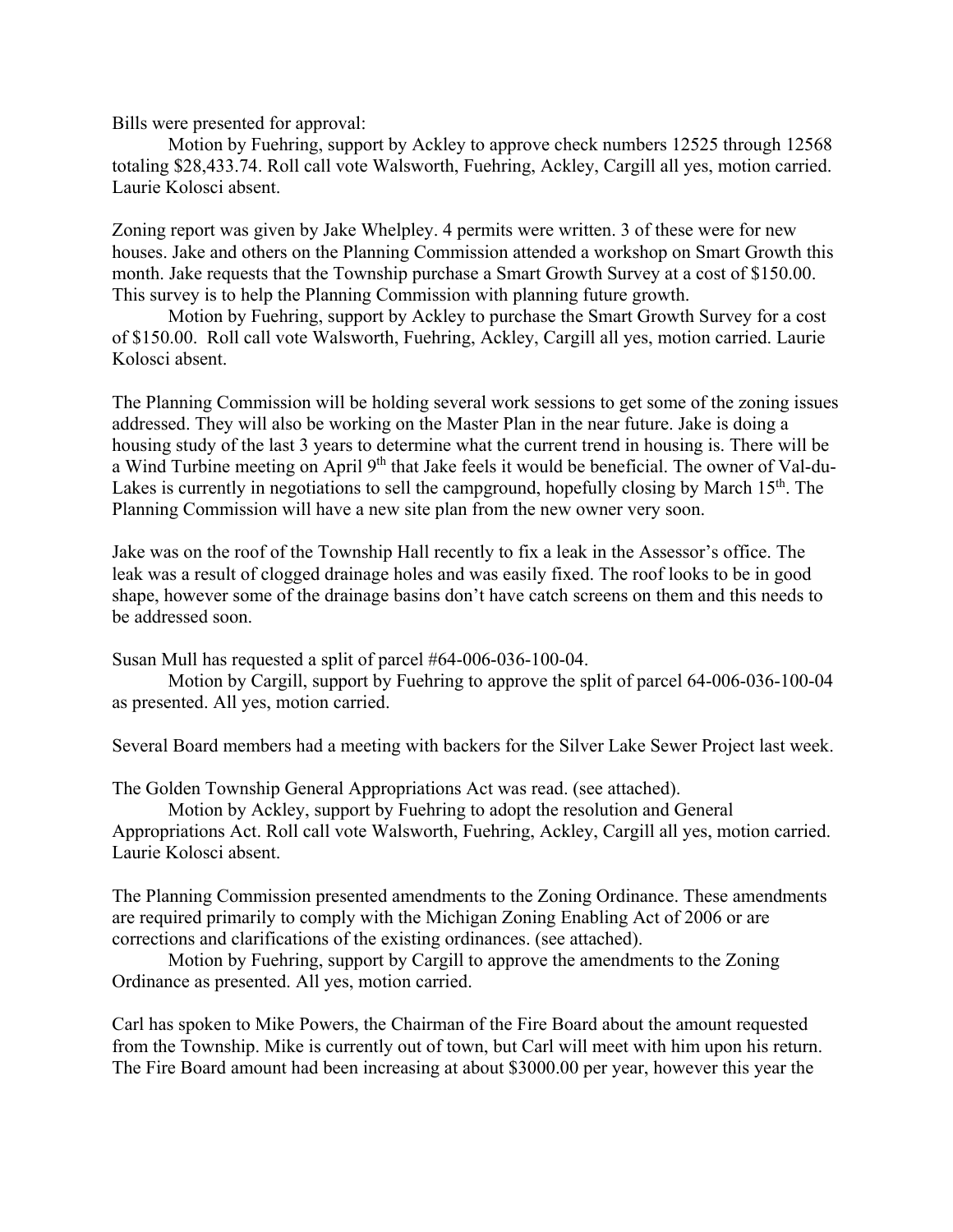Bills were presented for approval:

Motion by Fuehring, support by Ackley to approve check numbers 12525 through 12568 totaling \$28,433.74. Roll call vote Walsworth, Fuehring, Ackley, Cargill all yes, motion carried. Laurie Kolosci absent.

Zoning report was given by Jake Whelpley. 4 permits were written. 3 of these were for new houses. Jake and others on the Planning Commission attended a workshop on Smart Growth this month. Jake requests that the Township purchase a Smart Growth Survey at a cost of \$150.00. This survey is to help the Planning Commission with planning future growth.

 Motion by Fuehring, support by Ackley to purchase the Smart Growth Survey for a cost of \$150.00. Roll call vote Walsworth, Fuehring, Ackley, Cargill all yes, motion carried. Laurie Kolosci absent.

The Planning Commission will be holding several work sessions to get some of the zoning issues addressed. They will also be working on the Master Plan in the near future. Jake is doing a housing study of the last 3 years to determine what the current trend in housing is. There will be a Wind Turbine meeting on April 9th that Jake feels it would be beneficial. The owner of Val-du-Lakes is currently in negotiations to sell the campground, hopefully closing by March  $15<sup>th</sup>$ . The Planning Commission will have a new site plan from the new owner very soon.

Jake was on the roof of the Township Hall recently to fix a leak in the Assessor's office. The leak was a result of clogged drainage holes and was easily fixed. The roof looks to be in good shape, however some of the drainage basins don't have catch screens on them and this needs to be addressed soon.

Susan Mull has requested a split of parcel #64-006-036-100-04.

 Motion by Cargill, support by Fuehring to approve the split of parcel 64-006-036-100-04 as presented. All yes, motion carried.

Several Board members had a meeting with backers for the Silver Lake Sewer Project last week.

The Golden Township General Appropriations Act was read. (see attached).

 Motion by Ackley, support by Fuehring to adopt the resolution and General Appropriations Act. Roll call vote Walsworth, Fuehring, Ackley, Cargill all yes, motion carried. Laurie Kolosci absent.

The Planning Commission presented amendments to the Zoning Ordinance. These amendments are required primarily to comply with the Michigan Zoning Enabling Act of 2006 or are corrections and clarifications of the existing ordinances. (see attached).

 Motion by Fuehring, support by Cargill to approve the amendments to the Zoning Ordinance as presented. All yes, motion carried.

Carl has spoken to Mike Powers, the Chairman of the Fire Board about the amount requested from the Township. Mike is currently out of town, but Carl will meet with him upon his return. The Fire Board amount had been increasing at about \$3000.00 per year, however this year the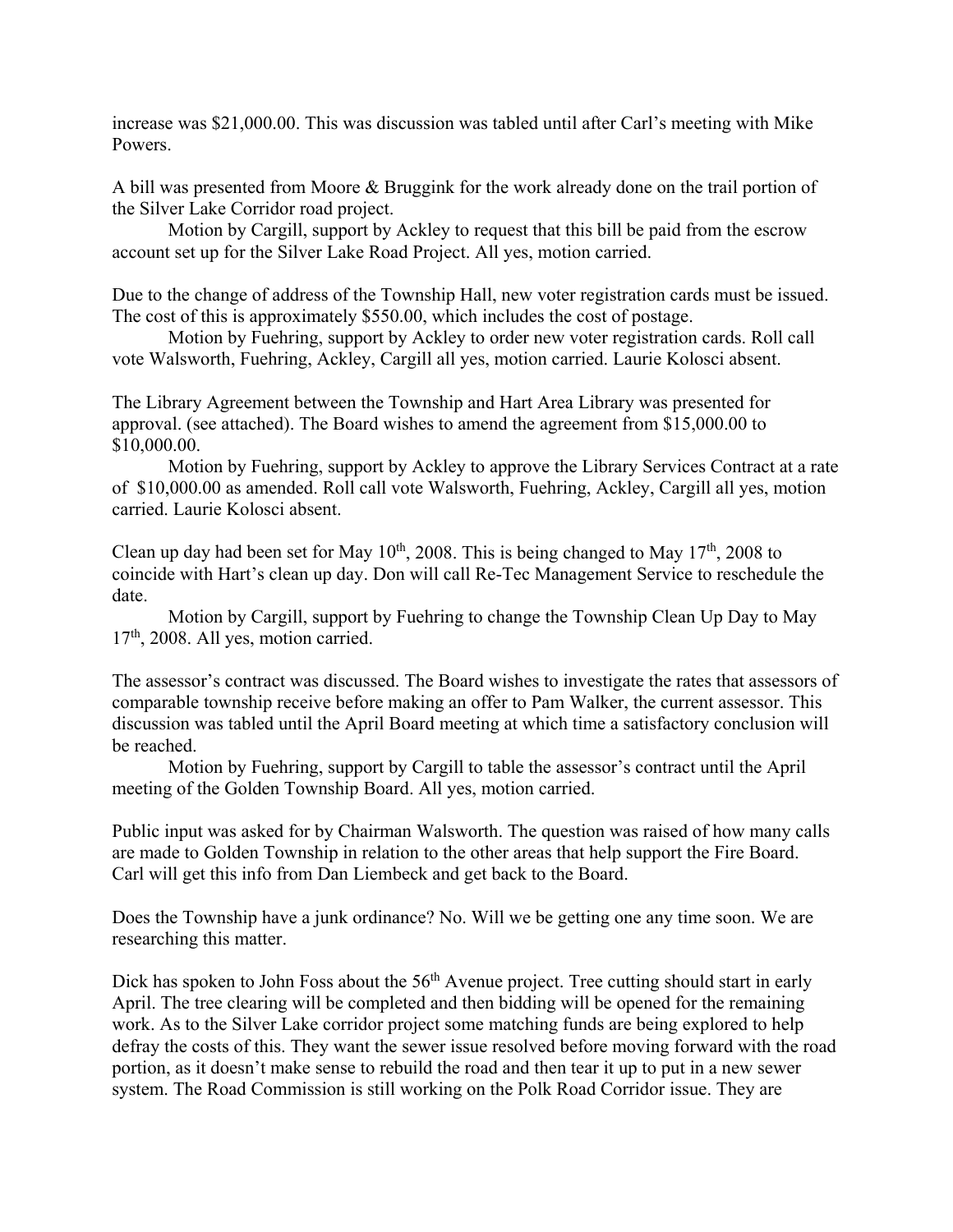increase was \$21,000.00. This was discussion was tabled until after Carl's meeting with Mike Powers.

A bill was presented from Moore & Bruggink for the work already done on the trail portion of the Silver Lake Corridor road project.

Motion by Cargill, support by Ackley to request that this bill be paid from the escrow account set up for the Silver Lake Road Project. All yes, motion carried.

Due to the change of address of the Township Hall, new voter registration cards must be issued. The cost of this is approximately \$550.00, which includes the cost of postage.

 Motion by Fuehring, support by Ackley to order new voter registration cards. Roll call vote Walsworth, Fuehring, Ackley, Cargill all yes, motion carried. Laurie Kolosci absent.

The Library Agreement between the Township and Hart Area Library was presented for approval. (see attached). The Board wishes to amend the agreement from \$15,000.00 to \$10,000.00.

 Motion by Fuehring, support by Ackley to approve the Library Services Contract at a rate of \$10,000.00 as amended. Roll call vote Walsworth, Fuehring, Ackley, Cargill all yes, motion carried. Laurie Kolosci absent.

Clean up day had been set for May  $10^{th}$ , 2008. This is being changed to May  $17^{th}$ , 2008 to coincide with Hart's clean up day. Don will call Re-Tec Management Service to reschedule the date.

 Motion by Cargill, support by Fuehring to change the Township Clean Up Day to May  $17<sup>th</sup>$ , 2008. All yes, motion carried.

The assessor's contract was discussed. The Board wishes to investigate the rates that assessors of comparable township receive before making an offer to Pam Walker, the current assessor. This discussion was tabled until the April Board meeting at which time a satisfactory conclusion will be reached.

 Motion by Fuehring, support by Cargill to table the assessor's contract until the April meeting of the Golden Township Board. All yes, motion carried.

Public input was asked for by Chairman Walsworth. The question was raised of how many calls are made to Golden Township in relation to the other areas that help support the Fire Board. Carl will get this info from Dan Liembeck and get back to the Board.

Does the Township have a junk ordinance? No. Will we be getting one any time soon. We are researching this matter.

Dick has spoken to John Foss about the 56<sup>th</sup> Avenue project. Tree cutting should start in early April. The tree clearing will be completed and then bidding will be opened for the remaining work. As to the Silver Lake corridor project some matching funds are being explored to help defray the costs of this. They want the sewer issue resolved before moving forward with the road portion, as it doesn't make sense to rebuild the road and then tear it up to put in a new sewer system. The Road Commission is still working on the Polk Road Corridor issue. They are